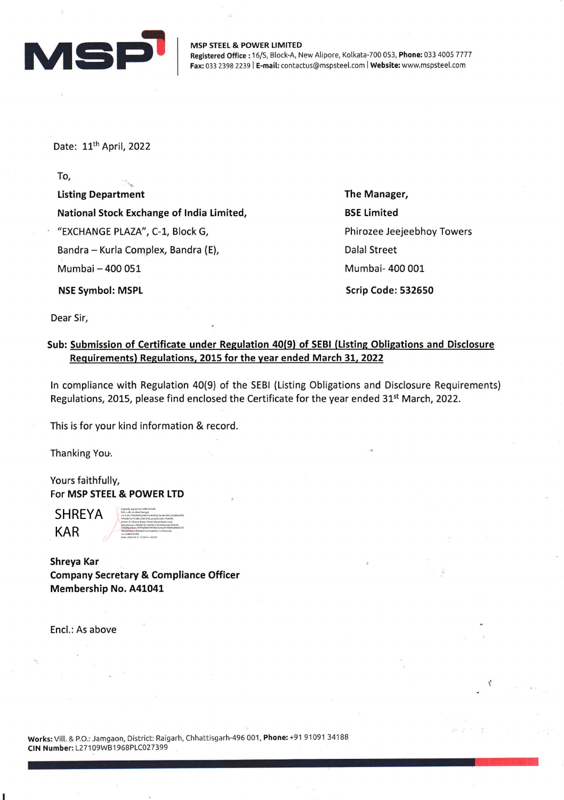

MSP STEEL & POWER LIMITED Registered Office: 16/S, Block-A, New Alipore, Kolkata-700 053, Phone: 033 4005 7777 Fax: 033 2398 2239 | E-mail: contactus@mspsteel.com | Website: www.mspsteel.com

Date: 11<sup>th</sup> April, 2022

To,

Listing Department National Stock Exchange of India Limited, "EXCHANGE PLAZA", C-1, Block G, Bandra - Kurla Complex, Bandra (E), Mumbai - 400 051 NSE Symbol: MSPL

The Manager, BSE Limited Phirozee Jeejeebhoy Towers Dalal Street Mumbai- 400 001 Scrip Code: 532650

"

Dear Sir,

## Sub: Submission of Certificate under Regulation 40(9) of SEBI (Listing Obligations and Disclosure Requirements) Regulations, 2015 for the year ended March 31, 2022

In compliance with Regulation 40(9) of the SEBI (Listing Obligations and Disclosure Requirements) Regulations, 2015, please find enclosed the Certificate for the year ended 31<sup>st</sup> March, 2022.

This is for your kind information & record.

Thanking You-.

Yours faithfully, For MSP STEEL & POWER LTD

SHREYA KAR

Digitally signed by SHREYA KAR DN: c=IN, st=West Bengal, 2.5.4.20=7950044a299c01e4e056c2ac8e24fcc2a568eef3fe 479dd01a7518fec2587239, postalCode=700004, street=57,Shyam Bazar Street,Shyambazar mail, pseudonym=5858d16514e94e1cb5e4dace62329e50, serialNumber=5fef0a88d54458be5a4aa419b89ad86d2cf3 0f03685a0a17b69ad7ca316ade93, o=Personal, cn=SHREYA KAR Date: 2022.04.11 17:58:51 +05'30

Shreya Kar Company Secretary & Compliance Officer Membership No. A41041

Encl.: As above

Works: Vill. & P.O.: Jamgaon, District: Raigarh, Chhattisgarh-496 001, Phone: +91 91091 34188 CIN Number: L27109WB1968PLC027399